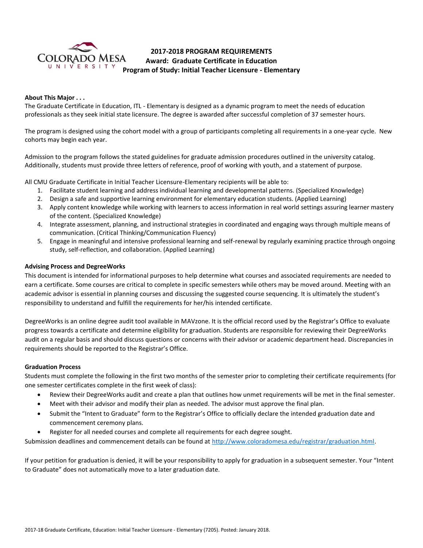

# **2017-2018 PROGRAM REQUIREMENTS Award: Graduate Certificate in Education Program of Study: Initial Teacher Licensure - Elementary**

# **About This Major . . .**

The Graduate Certificate in Education, ITL - Elementary is designed as a dynamic program to meet the needs of education professionals as they seek initial state licensure. The degree is awarded after successful completion of 37 semester hours.

The program is designed using the cohort model with a group of participants completing all requirements in a one-year cycle. New cohorts may begin each year.

Admission to the program follows the stated guidelines for graduate admission procedures outlined in the university catalog. Additionally, students must provide three letters of reference, proof of working with youth, and a statement of purpose.

All CMU Graduate Certificate in Initial Teacher Licensure-Elementary recipients will be able to:

- 1. Facilitate student learning and address individual learning and developmental patterns. (Specialized Knowledge)
- 2. Design a safe and supportive learning environment for elementary education students. (Applied Learning)
- 3. Apply content knowledge while working with learners to access information in real world settings assuring learner mastery of the content. (Specialized Knowledge)
- 4. Integrate assessment, planning, and instructional strategies in coordinated and engaging ways through multiple means of communication. (Critical Thinking/Communication Fluency)
- 5. Engage in meaningful and intensive professional learning and self-renewal by regularly examining practice through ongoing study, self-reflection, and collaboration. (Applied Learning)

## **Advising Process and DegreeWorks**

This document is intended for informational purposes to help determine what courses and associated requirements are needed to earn a certificate. Some courses are critical to complete in specific semesters while others may be moved around. Meeting with an academic advisor is essential in planning courses and discussing the suggested course sequencing. It is ultimately the student's responsibility to understand and fulfill the requirements for her/his intended certificate.

DegreeWorks is an online degree audit tool available in MAVzone. It is the official record used by the Registrar's Office to evaluate progress towards a certificate and determine eligibility for graduation. Students are responsible for reviewing their DegreeWorks audit on a regular basis and should discuss questions or concerns with their advisor or academic department head. Discrepancies in requirements should be reported to the Registrar's Office.

#### **Graduation Process**

Students must complete the following in the first two months of the semester prior to completing their certificate requirements (for one semester certificates complete in the first week of class):

- Review their DegreeWorks audit and create a plan that outlines how unmet requirements will be met in the final semester.
- Meet with their advisor and modify their plan as needed. The advisor must approve the final plan.
- Submit the "Intent to Graduate" form to the Registrar's Office to officially declare the intended graduation date and commencement ceremony plans.
- Register for all needed courses and complete all requirements for each degree sought.

Submission deadlines and commencement details can be found at [http://www.coloradomesa.edu/registrar/graduation.html.](http://www.coloradomesa.edu/registrar/graduation.html)

If your petition for graduation is denied, it will be your responsibility to apply for graduation in a subsequent semester. Your "Intent to Graduate" does not automatically move to a later graduation date.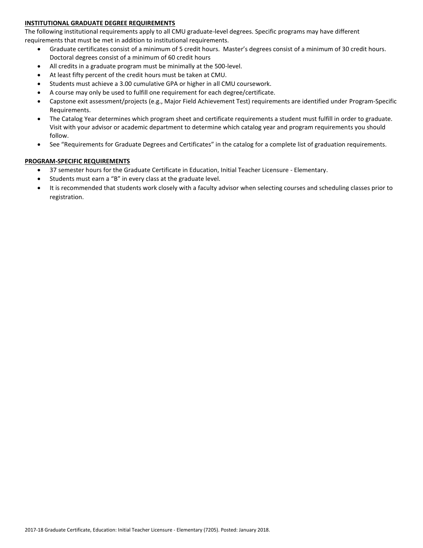# **INSTITUTIONAL GRADUATE DEGREE REQUIREMENTS**

The following institutional requirements apply to all CMU graduate-level degrees. Specific programs may have different requirements that must be met in addition to institutional requirements.

- Graduate certificates consist of a minimum of 5 credit hours. Master's degrees consist of a minimum of 30 credit hours. Doctoral degrees consist of a minimum of 60 credit hours
- All credits in a graduate program must be minimally at the 500-level.
- At least fifty percent of the credit hours must be taken at CMU.
- Students must achieve a 3.00 cumulative GPA or higher in all CMU coursework.
- A course may only be used to fulfill one requirement for each degree/certificate.
- Capstone exit assessment/projects (e.g., Major Field Achievement Test) requirements are identified under Program-Specific Requirements.
- The Catalog Year determines which program sheet and certificate requirements a student must fulfill in order to graduate. Visit with your advisor or academic department to determine which catalog year and program requirements you should follow.
- See "Requirements for Graduate Degrees and Certificates" in the catalog for a complete list of graduation requirements.

# **PROGRAM-SPECIFIC REQUIREMENTS**

- 37 semester hours for the Graduate Certificate in Education, Initial Teacher Licensure Elementary.
- Students must earn a "B" in every class at the graduate level.
- It is recommended that students work closely with a faculty advisor when selecting courses and scheduling classes prior to registration.